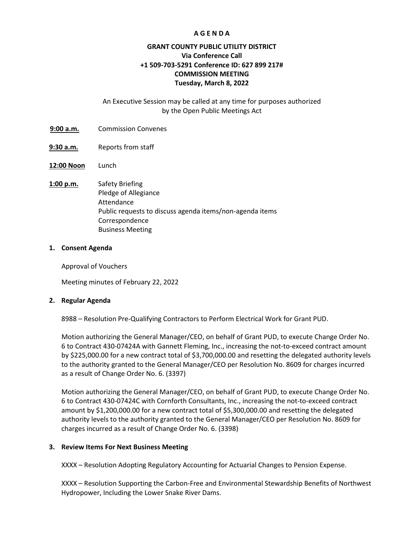### **A G E N D A**

## **GRANT COUNTY PUBLIC UTILITY DISTRICT Via Conference Call +1 509-703-5291 Conference ID: 627 899 217# COMMISSION MEETING Tuesday, March 8, 2022**

### An Executive Session may be called at any time for purposes authorized by the Open Public Meetings Act

- :39**9:00 a.m.** Commission Convenes
- **9:30 a.m.** Reports from staff
- **12:00 Noon** Lunch
- **1:00 p.m.** Safety Briefing Pledge of Allegiance Attendance Public requests to discuss agenda items/non-agenda items Correspondence Business Meeting

#### **1. Consent Agenda**

Approval of Vouchers

Meeting minutes of February 22, 2022

#### **2. Regular Agenda**

8988 – Resolution Pre-Qualifying Contractors to Perform Electrical Work for Grant PUD.

Motion authorizing the General Manager/CEO, on behalf of Grant PUD, to execute Change Order No. 6 to Contract 430-07424A with Gannett Fleming, Inc., increasing the not-to-exceed contract amount by \$225,000.00 for a new contract total of \$3,700,000.00 and resetting the delegated authority levels to the authority granted to the General Manager/CEO per Resolution No. 8609 for charges incurred as a result of Change Order No. 6. (3397)

Motion authorizing the General Manager/CEO, on behalf of Grant PUD, to execute Change Order No. 6 to Contract 430-07424C with Cornforth Consultants, Inc., increasing the not-to-exceed contract amount by \$1,200,000.00 for a new contract total of \$5,300,000.00 and resetting the delegated authority levels to the authority granted to the General Manager/CEO per Resolution No. 8609 for charges incurred as a result of Change Order No. 6. (3398)

#### **3. Review Items For Next Business Meeting**

XXXX – Resolution Adopting Regulatory Accounting for Actuarial Changes to Pension Expense.

XXXX – Resolution Supporting the Carbon-Free and Environmental Stewardship Benefits of Northwest Hydropower, Including the Lower Snake River Dams.